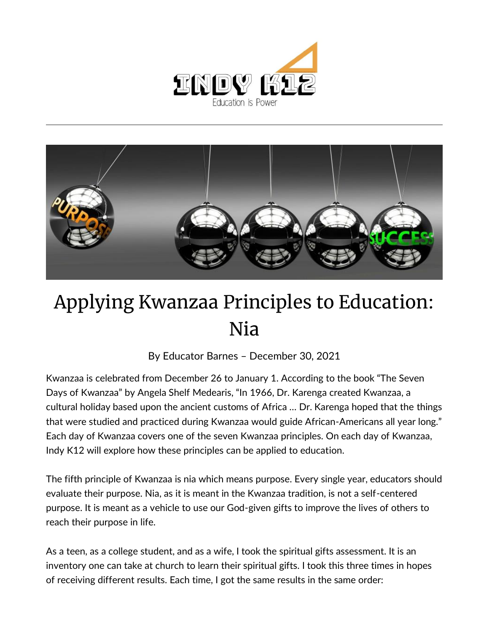



## Applying Kwanzaa Principles to Education: Nia

By [Educator Barnes](https://indy.education/author/shicole/) – December 30, 2021

Kwanzaa is celebrated from December 26 to January 1. According to the book "The Seven Days of Kwanzaa" by Angela Shelf Medearis, "In 1966, Dr. Karenga created Kwanzaa, a cultural holiday based upon the ancient customs of Africa … Dr. Karenga hoped that the things that were studied and practiced during Kwanzaa would guide African-Americans all year long." Each day of Kwanzaa covers one of the seven Kwanzaa principles. On each day of Kwanzaa, Indy K12 will explore how these principles can be applied to education.

The fifth principle of Kwanzaa is nia which means purpose. Every single year, educators should evaluate their purpose. Nia, as it is meant in the Kwanzaa tradition, is not a self-centered purpose. It is meant as a vehicle to use our God-given gifts to improve the lives of others to reach their purpose in life.

As a teen, as a college student, and as a wife, I took the spiritual gifts assessment. It is an inventory one can take at church to learn their spiritual gifts. I took this three times in hopes of receiving different results. Each time, I got the same results in the same order: